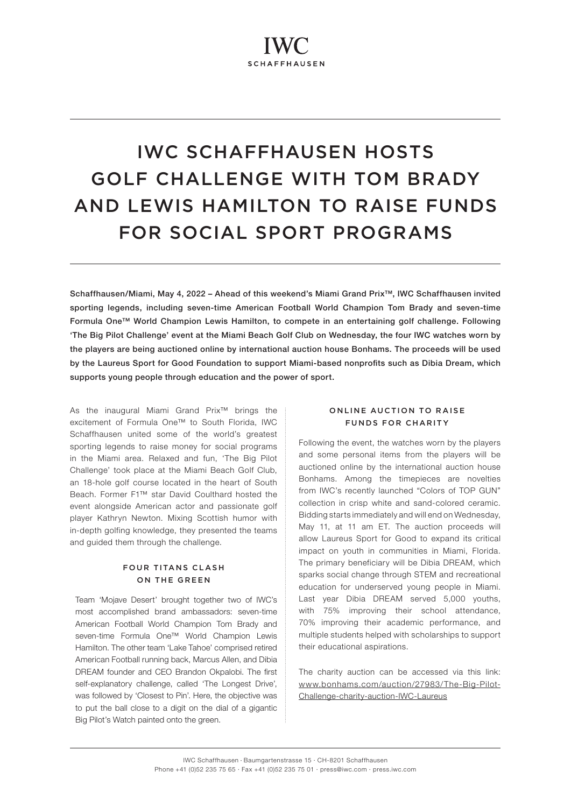# IWC SCHAFFHAUSEN HOSTS GOLF CHALLENGE WITH TOM BRADY AND LEWIS HAMILTON TO RAISE FUNDS FOR SOCIAL SPORT PROGRAMS

Schaffhausen/Miami, May 4, 2022 – Ahead of this weekend's Miami Grand Prix™, IWC Schaffhausen invited sporting legends, including seven-time American Football World Champion Tom Brady and seven-time Formula One™ World Champion Lewis Hamilton, to compete in an entertaining golf challenge. Following 'The Big Pilot Challenge' event at the Miami Beach Golf Club on Wednesday, the four IWC watches worn by the players are being auctioned online by international auction house Bonhams. The proceeds will be used by the Laureus Sport for Good Foundation to support Miami-based nonprofits such as Dibia Dream, which supports young people through education and the power of sport.

As the inaugural Miami Grand Prix™ brings the excitement of Formula One™ to South Florida, IWC Schaffhausen united some of the world's greatest sporting legends to raise money for social programs in the Miami area. Relaxed and fun, 'The Big Pilot Challenge' took place at the Miami Beach Golf Club, an 18-hole golf course located in the heart of South Beach. Former F1™ star David Coulthard hosted the event alongside American actor and passionate golf player Kathryn Newton. Mixing Scottish humor with in-depth golfing knowledge, they presented the teams and guided them through the challenge.

# **FOUR TITANS CLASH** ON THE GREEN

Team 'Mojave Desert' brought together two of IWC's most accomplished brand ambassadors: seven-time American Football World Champion Tom Brady and seven-time Formula One™ World Champion Lewis Hamilton. The other team 'Lake Tahoe' comprised retired American Football running back, Marcus Allen, and Dibia DREAM founder and CEO Brandon Okpalobi. The first self-explanatory challenge, called 'The Longest Drive', was followed by 'Closest to Pin'. Here, the objective was to put the ball close to a digit on the dial of a gigantic Big Pilot's Watch painted onto the green.

# ONLINE AUCTION TO RAISE FUNDS FOR CHARITY

Following the event, the watches worn by the players and some personal items from the players will be auctioned online by the international auction house Bonhams. Among the timepieces are novelties from IWC's recently launched "Colors of TOP GUN" collection in crisp white and sand-colored ceramic. Bidding starts immediately and will end on Wednesday, May 11, at 11 am ET. The auction proceeds will allow Laureus Sport for Good to expand its critical impact on youth in communities in Miami, Florida. The primary beneficiary will be Dibia DREAM, which sparks social change through STEM and recreational education for underserved young people in Miami. Last year Dibia DREAM served 5,000 youths, with 75% improving their school attendance, 70% improving their academic performance, and multiple students helped with scholarships to support their educational aspirations.

The charity auction can be accessed via this link: [www.bonhams.com/auction/27983/The-Big-Pilot-](http://www.bonhams.com/auction/27983/The-Big-Pilot-Challenge-charity-auction-IWC-Laureus)[Challenge-charity-auction-IWC-Laureus](http://www.bonhams.com/auction/27983/The-Big-Pilot-Challenge-charity-auction-IWC-Laureus)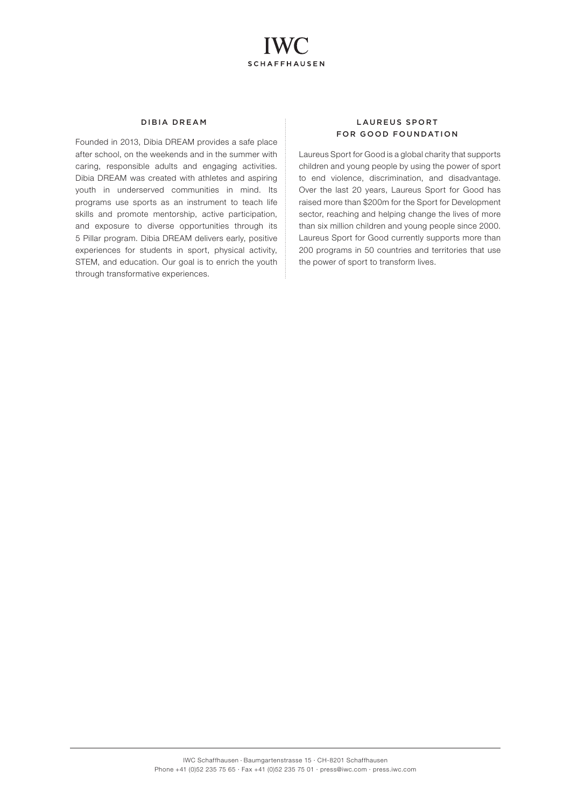

## DIBIA DREAM

Founded in 2013, Dibia DREAM provides a safe place after school, on the weekends and in the summer with caring, responsible adults and engaging activities. Dibia DREAM was created with athletes and aspiring youth in underserved communities in mind. Its programs use sports as an instrument to teach life skills and promote mentorship, active participation, and exposure to diverse opportunities through its 5 Pillar program. Dibia DREAM delivers early, positive experiences for students in sport, physical activity, STEM, and education. Our goal is to enrich the youth through transformative experiences.

# LAUREUS SPORT FOR GOOD FOUNDATION

Laureus Sport for Good is a global charity that supports children and young people by using the power of sport to end violence, discrimination, and disadvantage. Over the last 20 years, Laureus Sport for Good has raised more than \$200m for the Sport for Development sector, reaching and helping change the lives of more than six million children and young people since 2000. Laureus Sport for Good currently supports more than 200 programs in 50 countries and territories that use the power of sport to transform lives.